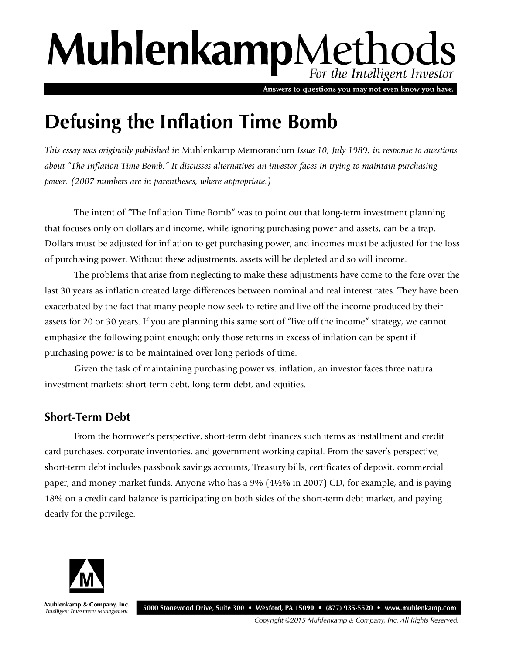# MuhlenkampMethods For the Intelligent Investor

Answers to questions you may not even know you have.

# **Defusing the Inflation Time Bomb**

*This essay was originally published in* Muhlenkamp Memorandum *Issue 10, July 1989, in response to questions about "The Inflation Time Bomb." It discusses alternatives an investor faces in trying to maintain purchasing power. (2007 numbers are in parentheses, where appropriate.)* 

The intent of "The Inflation Time Bomb" was to point out that long-term investment planning that focuses only on dollars and income, while ignoring purchasing power and assets, can be a trap. Dollars must be adjusted for inflation to get purchasing power, and incomes must be adjusted for the loss of purchasing power. Without these adjustments, assets will be depleted and so will income.

The problems that arise from neglecting to make these adjustments have come to the fore over the last 30 years as inflation created large differences between nominal and real interest rates. They have been exacerbated by the fact that many people now seek to retire and live off the income produced by their assets for 20 or 30 years. If you are planning this same sort of "live off the income" strategy, we cannot emphasize the following point enough: only those returns in excess of inflation can be spent if purchasing power is to be maintained over long periods of time.

Given the task of maintaining purchasing power vs. inflation, an investor faces three natural investment markets: short-term debt, long-term debt, and equities.

## **Short-Term Debt**

From the borrower's perspective, short-term debt finances such items as installment and credit card purchases, corporate inventories, and government working capital. From the saver's perspective, short-term debt includes passbook savings accounts, Treasury bills, certificates of deposit, commercial paper, and money market funds. Anyone who has a 9% (4½% in 2007) CD, for example, and is paying 18% on a credit card balance is participating on both sides of the short-term debt market, and paying dearly for the privilege.



Muhlenkamp & Company, Inc. Intelligent Investment Management

5000 Stonewood Drive, Suite 300 • Wexford, PA 15090 • (877) 935-5520 • www.muhlenkamp.com

Copyright ©2015 Muhlenkamp & Company, Inc. All Rights Reserved.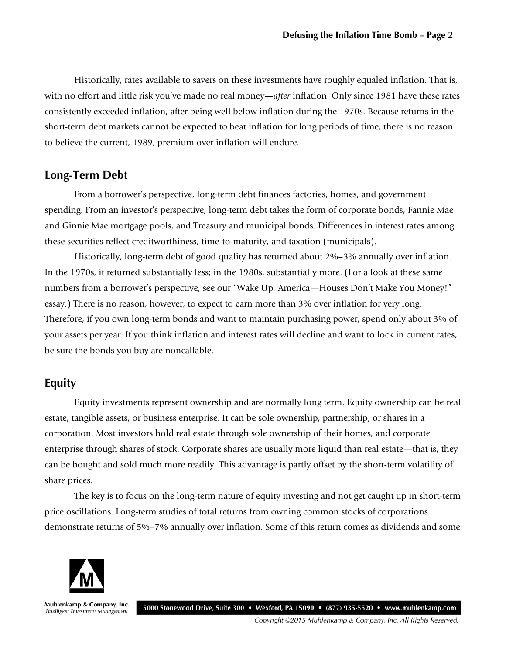Historically, rates available to savers on these investments have roughly equaled inflation. That is, with no effort and little risk you've made no real money—*after* inflation. Only since 1981 have these rates consistently exceeded inflation, after being well below inflation during the 1970s. Because returns in the short-term debt markets cannot be expected to beat inflation for long periods of time, there is no reason to believe the current, 1989, premium over inflation will endure.

#### **Long-Term Debt**

From a borrower's perspective, long-term debt finances factories, homes, and government spending. From an investor's perspective, long-term debt takes the form of corporate bonds, Fannie Mae and Ginnie Mae mortgage pools, and Treasury and municipal bonds. Differences in interest rates among these securities reflect creditworthiness, time-to-maturity, and taxation (municipals).

Historically, long-term debt of good quality has returned about 2%–3% annually over inflation. In the 1970s, it returned substantially less; in the 1980s, substantially more. (For a look at these same numbers from a borrower's perspective, see our "Wake Up, America—Houses Don't Make You Money!" essay.) There is no reason, however, to expect to earn more than 3% over inflation for very long. Therefore, if you own long-term bonds and want to maintain purchasing power, spend only about 3% of your assets per year. If you think inflation and interest rates will decline and want to lock in current rates, be sure the bonds you buy are noncallable.

## **Equity**

Equity investments represent ownership and are normally long term. Equity ownership can be real estate, tangible assets, or business enterprise. It can be sole ownership, partnership, or shares in a corporation. Most investors hold real estate through sole ownership of their homes, and corporate enterprise through shares of stock. Corporate shares are usually more liquid than real estate—that is, they can be bought and sold much more readily. This advantage is partly offset by the short-term volatility of share prices.

The key is to focus on the long-term nature of equity investing and not get caught up in short-term price oscillations. Long-term studies of total returns from owning common stocks of corporations demonstrate returns of 5%–7% annually over inflation. Some of this return comes as dividends and some



Muhlenkamp & Company, Inc. Intelligent Investment Management

Copyright ©2015 Muhlenkamp & Company, Inc. All Rights Reserved.